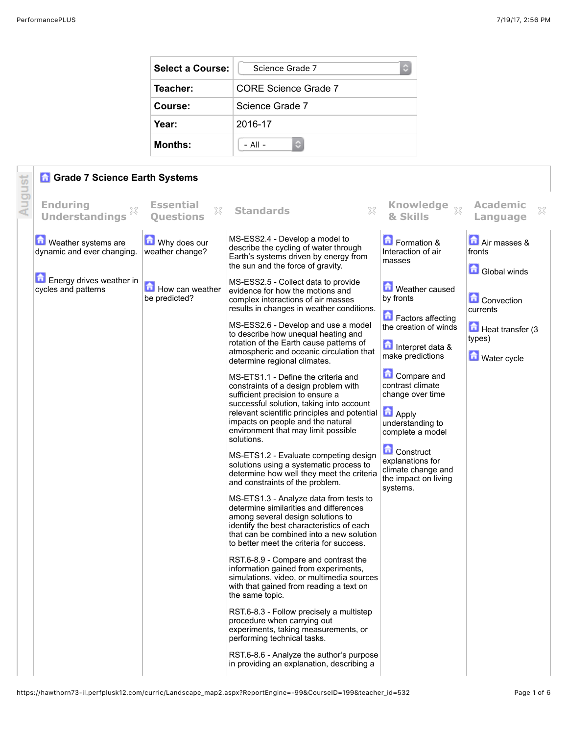| Select a Course: | Science Grade 7<br>с |
|------------------|----------------------|
| Teacher:         | CORE Science Grade 7 |
| Course:          | Science Grade 7      |
| Year:            | 2016-17              |
| <b>Months:</b>   | $-$ All $-$          |

|        | <b>n</b> Grade 7 Science Earth Systems                     |                                           |                                                                                                                                                                                                                                                                                                                                                                                                                                                                                                                                                                                                                                                                                                                                                                                                                                                                                                                                                                                                                                                                                                                                                                                                                                                                                                                                                                                                                                                                                                                                                  |                                                                                                                                                                                                                                                                                                                                    |                                                                                   |
|--------|------------------------------------------------------------|-------------------------------------------|--------------------------------------------------------------------------------------------------------------------------------------------------------------------------------------------------------------------------------------------------------------------------------------------------------------------------------------------------------------------------------------------------------------------------------------------------------------------------------------------------------------------------------------------------------------------------------------------------------------------------------------------------------------------------------------------------------------------------------------------------------------------------------------------------------------------------------------------------------------------------------------------------------------------------------------------------------------------------------------------------------------------------------------------------------------------------------------------------------------------------------------------------------------------------------------------------------------------------------------------------------------------------------------------------------------------------------------------------------------------------------------------------------------------------------------------------------------------------------------------------------------------------------------------------|------------------------------------------------------------------------------------------------------------------------------------------------------------------------------------------------------------------------------------------------------------------------------------------------------------------------------------|-----------------------------------------------------------------------------------|
| August | <b>Enduring</b><br>X<br><b>Understandings</b>              | <b>Essential</b><br>X<br><b>Questions</b> | ×<br><b>Standards</b>                                                                                                                                                                                                                                                                                                                                                                                                                                                                                                                                                                                                                                                                                                                                                                                                                                                                                                                                                                                                                                                                                                                                                                                                                                                                                                                                                                                                                                                                                                                            | <b>Knowledge</b><br>$\mathbb{X}$<br>& Skills                                                                                                                                                                                                                                                                                       | <b>Academic</b><br>×<br>Language                                                  |
|        | <b>D</b> Weather systems are<br>dynamic and ever changing. | Why does our<br>weather change?           | MS-ESS2.4 - Develop a model to<br>describe the cycling of water through<br>Earth's systems driven by energy from<br>the sun and the force of gravity.                                                                                                                                                                                                                                                                                                                                                                                                                                                                                                                                                                                                                                                                                                                                                                                                                                                                                                                                                                                                                                                                                                                                                                                                                                                                                                                                                                                            | Formation &<br>Interaction of air<br>masses                                                                                                                                                                                                                                                                                        | Air masses &<br>fronts<br><b>Global winds</b>                                     |
|        | Energy drives weather in<br>cycles and patterns            | How can weather<br>be predicted?          | MS-ESS2.5 - Collect data to provide<br>evidence for how the motions and<br>complex interactions of air masses<br>results in changes in weather conditions.<br>MS-ESS2.6 - Develop and use a model<br>to describe how unequal heating and<br>rotation of the Earth cause patterns of<br>atmospheric and oceanic circulation that<br>determine regional climates.<br>MS-ETS1.1 - Define the criteria and<br>constraints of a design problem with<br>sufficient precision to ensure a<br>successful solution, taking into account<br>relevant scientific principles and potential<br>impacts on people and the natural<br>environment that may limit possible<br>solutions.<br>MS-ETS1.2 - Evaluate competing design<br>solutions using a systematic process to<br>determine how well they meet the criteria<br>and constraints of the problem.<br>MS-ETS1.3 - Analyze data from tests to<br>determine similarities and differences<br>among several design solutions to<br>identify the best characteristics of each<br>that can be combined into a new solution<br>to better meet the criteria for success.<br>RST.6-8.9 - Compare and contrast the<br>information gained from experiments,<br>simulations, video, or multimedia sources<br>with that gained from reading a text on<br>the same topic.<br>RST.6-8.3 - Follow precisely a multistep<br>procedure when carrying out<br>experiments, taking measurements, or<br>performing technical tasks.<br>RST.6-8.6 - Analyze the author's purpose<br>in providing an explanation, describing a | Weather caused<br>by fronts<br>Factors affecting<br>the creation of winds<br>Interpret data &<br>make predictions<br>Compare and<br>contrast climate<br>change over time<br><b>Apply</b><br>understanding to<br>complete a model<br><b>Construct</b><br>explanations for<br>climate change and<br>the impact on living<br>systems. | <b>Convection</b><br>currents<br>Heat transfer (3<br>types)<br><b>Mater</b> cycle |
|        |                                                            |                                           |                                                                                                                                                                                                                                                                                                                                                                                                                                                                                                                                                                                                                                                                                                                                                                                                                                                                                                                                                                                                                                                                                                                                                                                                                                                                                                                                                                                                                                                                                                                                                  |                                                                                                                                                                                                                                                                                                                                    |                                                                                   |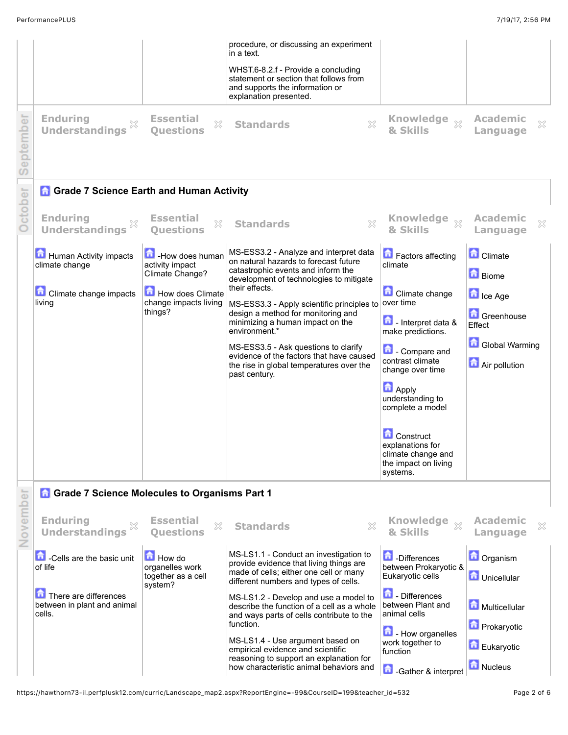| September | <b>Enduring</b><br>X<br><b>Understandings</b>                                                                                                                    | <b>Essential</b><br>X<br><b>Questions</b>                                                                      | procedure, or discussing an experiment<br>in a text.<br>WHST.6-8.2.f - Provide a concluding<br>statement or section that follows from<br>and supports the information or<br>explanation presented.<br>$\mathbb{S}^2$<br><b>Standards</b>                                                                                                                                                                                                                                     | <b>Knowledge</b><br>$\chi$<br>& Skills                                                                                                                                                                                                                                                                                              | <b>Academic</b><br>×<br>Language                                                                                       |  |
|-----------|------------------------------------------------------------------------------------------------------------------------------------------------------------------|----------------------------------------------------------------------------------------------------------------|------------------------------------------------------------------------------------------------------------------------------------------------------------------------------------------------------------------------------------------------------------------------------------------------------------------------------------------------------------------------------------------------------------------------------------------------------------------------------|-------------------------------------------------------------------------------------------------------------------------------------------------------------------------------------------------------------------------------------------------------------------------------------------------------------------------------------|------------------------------------------------------------------------------------------------------------------------|--|
|           | <b>Grade 7 Science Earth and Human Activity</b>                                                                                                                  |                                                                                                                |                                                                                                                                                                                                                                                                                                                                                                                                                                                                              |                                                                                                                                                                                                                                                                                                                                     |                                                                                                                        |  |
| October   | <b>Enduring</b><br>×<br><b>Understandings</b>                                                                                                                    | <b>Essential</b><br>X<br><b>Ouestions</b>                                                                      | X<br><b>Standards</b>                                                                                                                                                                                                                                                                                                                                                                                                                                                        | <b>Knowledge</b><br>$\mathbb{X}$<br>& Skills                                                                                                                                                                                                                                                                                        | <b>Academic</b><br>×<br>Language                                                                                       |  |
|           | Human Activity impacts<br>climate change<br><b>Climate change impacts</b><br>living                                                                              | How does human<br>activity impact<br>Climate Change?<br>How does Climate<br>change impacts living<br>things?   | MS-ESS3.2 - Analyze and interpret data<br>on natural hazards to forecast future<br>catastrophic events and inform the<br>development of technologies to mitigate<br>their effects.<br>MS-ESS3.3 - Apply scientific principles to<br>design a method for monitoring and<br>minimizing a human impact on the<br>environment.*<br>MS-ESS3.5 - Ask questions to clarify<br>evidence of the factors that have caused<br>the rise in global temperatures over the<br>past century. | Factors affecting<br>climate<br><b>Climate change</b><br>over time<br>Interpret data &<br>make predictions.<br><b>Compare and</b><br>contrast climate<br>change over time<br><b>Apply</b><br>understanding to<br>complete a model<br><b>Construct</b><br>explanations for<br>climate change and<br>the impact on living<br>systems. | <b>Climate</b><br><b>D</b> Biome<br><b>D</b> Ice Age<br>Greenhouse<br>Effect<br><b>Global Warming</b><br>Air pollution |  |
|           | <b>Grade 7 Science Molecules to Organisms Part 1</b>                                                                                                             |                                                                                                                |                                                                                                                                                                                                                                                                                                                                                                                                                                                                              |                                                                                                                                                                                                                                                                                                                                     |                                                                                                                        |  |
| November  | <b>Enduring</b><br>X<br><b>Understandings</b><br><b>n</b> -Cells are the basic unit<br>of life<br>There are differences<br>between in plant and animal<br>cells. | <b>Essential</b><br>X<br><b>Ouestions</b><br><b>How do</b><br>organelles work<br>together as a cell<br>system? | X<br><b>Standards</b><br>MS-LS1.1 - Conduct an investigation to<br>provide evidence that living things are<br>made of cells; either one cell or many<br>different numbers and types of cells.<br>MS-LS1.2 - Develop and use a model to<br>describe the function of a cell as a whole<br>and ways parts of cells contribute to the<br>function.                                                                                                                               | <b>Knowledge</b><br>$\bar{\chi}$<br>& Skills<br><b>D</b> Differences<br>between Prokaryotic &<br>Eukaryotic cells<br><b>D</b> - Differences<br>between Plant and<br>animal cells                                                                                                                                                    | <b>Academic</b><br>×<br>Language<br><b>D</b> Organism<br><b>D</b> Unicellular<br>Multicellular<br><b>D</b> Prokaryotic |  |
|           |                                                                                                                                                                  |                                                                                                                | MS-LS1.4 - Use argument based on<br>empirical evidence and scientific<br>reasoning to support an explanation for<br>how characteristic animal behaviors and                                                                                                                                                                                                                                                                                                                  | How organelles<br>work together to<br>function<br><b>A</b> -Gather & interpret                                                                                                                                                                                                                                                      | Eukaryotic<br>Nucleus                                                                                                  |  |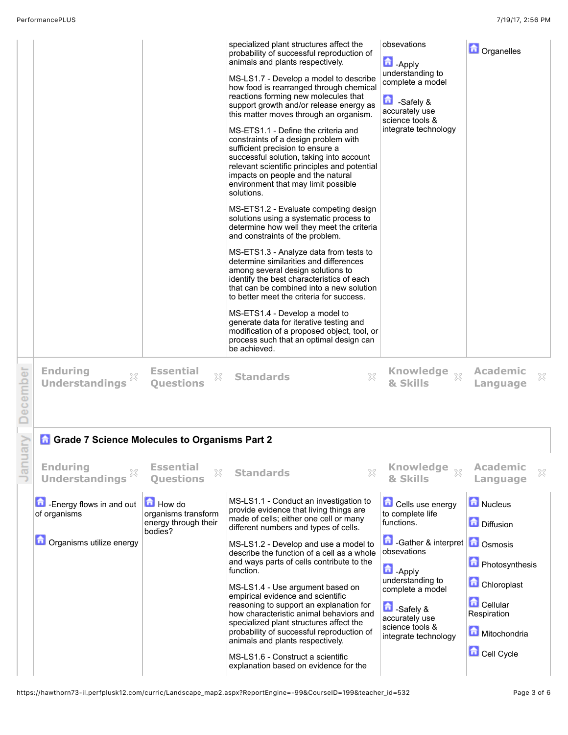|         |                                                      |                                                                         | specialized plant structures affect the<br>probability of successful reproduction of<br>animals and plants respectively.<br>MS-LS1.7 - Develop a model to describe<br>how food is rearranged through chemical<br>reactions forming new molecules that<br>support growth and/or release energy as<br>this matter moves through an organism.<br>MS-ETS1.1 - Define the criteria and<br>constraints of a design problem with<br>sufficient precision to ensure a<br>successful solution, taking into account<br>relevant scientific principles and potential<br>impacts on people and the natural<br>environment that may limit possible<br>solutions.<br>MS-ETS1.2 - Evaluate competing design<br>solutions using a systematic process to<br>determine how well they meet the criteria<br>and constraints of the problem.<br>MS-ETS1.3 - Analyze data from tests to<br>determine similarities and differences<br>among several design solutions to<br>identify the best characteristics of each<br>that can be combined into a new solution<br>to better meet the criteria for success.<br>MS-ETS1.4 - Develop a model to<br>generate data for iterative testing and<br>modification of a proposed object, tool, or<br>process such that an optimal design can<br>be achieved. | obsevations<br>$\Box$ -Apply<br>understanding to<br>complete a model<br>£<br>-Safely &<br>accurately use<br>science tools &<br>integrate technology | <b>D</b> Organelles                              |
|---------|------------------------------------------------------|-------------------------------------------------------------------------|------------------------------------------------------------------------------------------------------------------------------------------------------------------------------------------------------------------------------------------------------------------------------------------------------------------------------------------------------------------------------------------------------------------------------------------------------------------------------------------------------------------------------------------------------------------------------------------------------------------------------------------------------------------------------------------------------------------------------------------------------------------------------------------------------------------------------------------------------------------------------------------------------------------------------------------------------------------------------------------------------------------------------------------------------------------------------------------------------------------------------------------------------------------------------------------------------------------------------------------------------------------------------|-----------------------------------------------------------------------------------------------------------------------------------------------------|--------------------------------------------------|
| ecember | <b>Enduring</b><br><b>Understandings</b>             | <b>Essential</b><br>$\mathbb{X}$<br><b>Ouestions</b>                    | X<br><b>Standards</b>                                                                                                                                                                                                                                                                                                                                                                                                                                                                                                                                                                                                                                                                                                                                                                                                                                                                                                                                                                                                                                                                                                                                                                                                                                                        | Knowledge $\frac{1}{\chi}$<br>& Skills                                                                                                              | <b>Academic</b><br>X<br>Language                 |
|         | <b>Grade 7 Science Molecules to Organisms Part 2</b> |                                                                         |                                                                                                                                                                                                                                                                                                                                                                                                                                                                                                                                                                                                                                                                                                                                                                                                                                                                                                                                                                                                                                                                                                                                                                                                                                                                              |                                                                                                                                                     |                                                  |
| ∃a⊓     | <b>Enduring</b><br><b>Understandings</b>             | <b>Essential</b><br>X<br><b>Ouestions</b>                               | X<br><b>Standards</b>                                                                                                                                                                                                                                                                                                                                                                                                                                                                                                                                                                                                                                                                                                                                                                                                                                                                                                                                                                                                                                                                                                                                                                                                                                                        | <b>Knowledge</b><br>$\mathbb{X}$<br>& Skills                                                                                                        | <b>Academic</b><br>×<br>Language                 |
|         | Energy flows in and out<br>of organisms              | <b>How do</b><br>organisms transform<br>energy through their<br>bodies? | MS-LS1.1 - Conduct an investigation to<br>provide evidence that living things are<br>made of cells; either one cell or many<br>different numbers and types of cells.                                                                                                                                                                                                                                                                                                                                                                                                                                                                                                                                                                                                                                                                                                                                                                                                                                                                                                                                                                                                                                                                                                         | Cells use energy<br>to complete life<br>functions.                                                                                                  | Nucleus<br>Diffusion                             |
|         | <b>O</b> Organisms utilize energy                    |                                                                         | MS-LS1.2 - Develop and use a model to<br>describe the function of a cell as a whole                                                                                                                                                                                                                                                                                                                                                                                                                                                                                                                                                                                                                                                                                                                                                                                                                                                                                                                                                                                                                                                                                                                                                                                          | <b>f</b> -Gather & interpret <b>f</b> Osmosis<br>obsevations                                                                                        |                                                  |
|         |                                                      |                                                                         | and ways parts of cells contribute to the<br>function.                                                                                                                                                                                                                                                                                                                                                                                                                                                                                                                                                                                                                                                                                                                                                                                                                                                                                                                                                                                                                                                                                                                                                                                                                       | <b>D</b> - Apply<br>understanding to                                                                                                                | <b>D</b> Photosynthesis<br><b>Chloroplast</b>    |
|         |                                                      |                                                                         | MS-LS1.4 - Use argument based on<br>empirical evidence and scientific<br>reasoning to support an explanation for<br>how characteristic animal behaviors and<br>specialized plant structures affect the<br>probability of successful reproduction of<br>animals and plants respectively.                                                                                                                                                                                                                                                                                                                                                                                                                                                                                                                                                                                                                                                                                                                                                                                                                                                                                                                                                                                      | complete a model<br>Safely &<br>accurately use<br>science tools &<br>integrate technology                                                           | <b>D</b> Cellular<br>Respiration<br>Mitochondria |
|         |                                                      |                                                                         | MS-LS1.6 - Construct a scientific<br>explanation based on evidence for the                                                                                                                                                                                                                                                                                                                                                                                                                                                                                                                                                                                                                                                                                                                                                                                                                                                                                                                                                                                                                                                                                                                                                                                                   |                                                                                                                                                     | Cell Cycle                                       |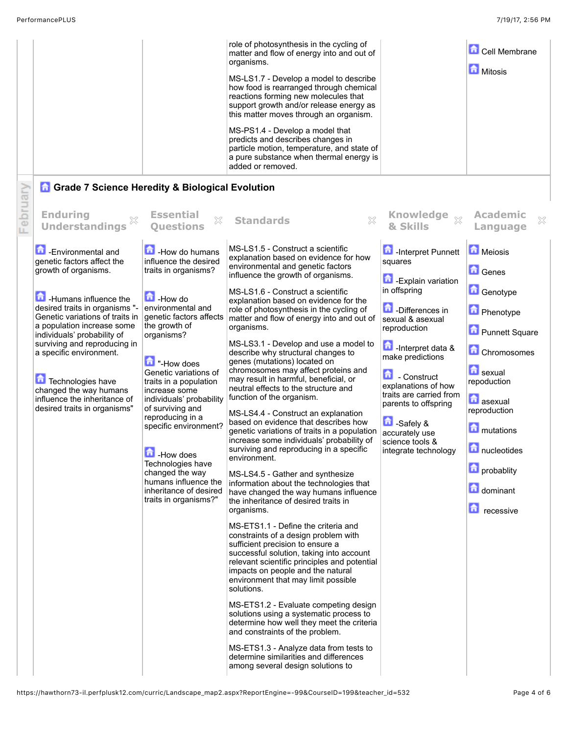| role of photosynthesis in the cycling of<br>matter and flow of energy into and out of<br>organisms.<br>MS-LS1.7 - Develop a model to describe<br>how food is rearranged through chemical<br>reactions forming new molecules that<br>support growth and/or release energy as<br>this matter moves through an organism.<br>MS-PS1.4 - Develop a model that<br>predicts and describes changes in<br>particle motion, temperature, and state of<br>a pure substance when thermal energy is | <b>Cell Membrane</b><br><b>Mitosis</b> |  |
|----------------------------------------------------------------------------------------------------------------------------------------------------------------------------------------------------------------------------------------------------------------------------------------------------------------------------------------------------------------------------------------------------------------------------------------------------------------------------------------|----------------------------------------|--|
| added or removed.<br><b>A</b> Grade 7 Science Heredity & Biological Evolution                                                                                                                                                                                                                                                                                                                                                                                                          |                                        |  |

## ebru **Questions Standards Knowledge Enduring Essential Academic** X **Understandings & Skills Language** MS-LS1.5 - Construct a scientific **n** -Interpret Punnett **Meiosis h**-Environmental and -How do humans explanation based on evidence for how genetic factors affect the influence the desired squares environmental and genetic factors growth of organisms. traits in organisms? **G**Genes influence the growth of organisms. **Contact Explain variation** in offspring **Genotype** MS-LS1.6 - Construct a scientific **D**-How do **Humans influence the** explanation based on evidence for the desired traits in organisms " environmental and **D**-Differences in role of photosynthesis in the cycling of **Phenotype** Genetic variations of traits in genetic factors affects matter and flow of energy into and out of sexual & asexual a population increase some the growth of organisms. reproduction **Punnett Square** organisms? individuals' probability of surviving and reproducing in MS-LS3.1 - Develop and use a model to **n** -Interpret data & Chromosomes a specific environment. describe why structural changes to make predictions genes (mutations) located on **T** "-How does chromosomes may affect proteins and **h** sexual Genetic variations of 奇 - Construct may result in harmful, beneficial, or **Technologies have** traits in a population repoduction explanations of how neutral effects to the structure and changed the way humans increase some traits are carried from function of the organism. influence the inheritance of individuals' probability **a**sexual parents to offspring of surviving and desired traits in organisms" reproduction MS-LS4.4 - Construct an explanation reproducing in a based on evidence that describes how **D** -Safely & specific environment? **mutations** genetic variations of traits in a population accurately use increase some individuals' probability of science tools & surviving and reproducing in a specific nucleotides integrate technology How does environment. Technologies have **n** probablity changed the way MS-LS4.5 - Gather and synthesize humans influence the information about the technologies that dominant inheritance of desired have changed the way humans influence traits in organisms?" the inheritance of desired traits in **n** recessive organisms. MS-ETS1.1 - Define the criteria and constraints of a design problem with sufficient precision to ensure a successful solution, taking into account relevant scientific principles and potential impacts on people and the natural environment that may limit possible solutions. MS-ETS1.2 - Evaluate competing design solutions using a systematic process to determine how well they meet the criteria and constraints of the problem. MS-ETS1.3 - Analyze data from tests to determine similarities and differences among several design solutions to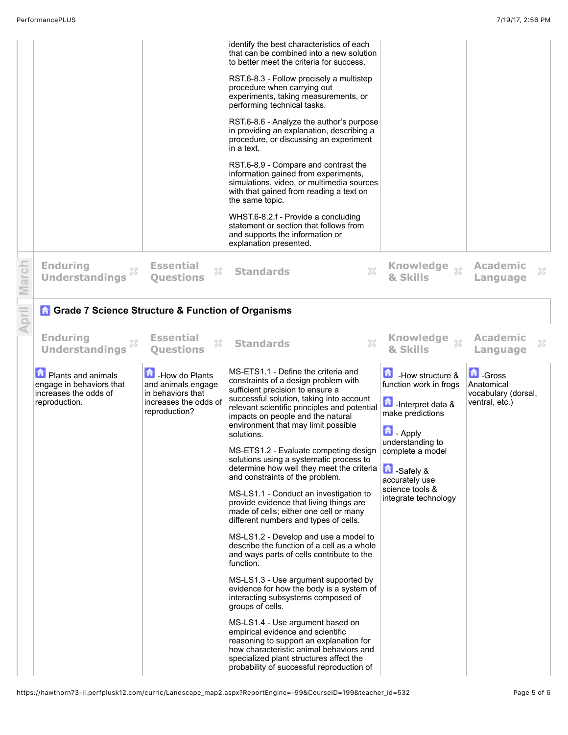|       |                                                                                                                                                                                                      |                                                                                                                                                 | identify the best characteristics of each<br>that can be combined into a new solution<br>to better meet the criteria for success.<br>RST.6-8.3 - Follow precisely a multistep<br>procedure when carrying out<br>experiments, taking measurements, or<br>performing technical tasks.<br>RST.6-8.6 - Analyze the author's purpose<br>in providing an explanation, describing a<br>procedure, or discussing an experiment<br>in a text.<br>RST.6-8.9 - Compare and contrast the<br>information gained from experiments,<br>simulations, video, or multimedia sources<br>with that gained from reading a text on<br>the same topic.<br>WHST.6-8.2.f - Provide a concluding<br>statement or section that follows from<br>and supports the information or<br>explanation presented.                                                                                                                                                                                                                                                                                                                                                                                                                                                                            |                                                                                                                                                                                                                                                               |                                                                                                            |
|-------|------------------------------------------------------------------------------------------------------------------------------------------------------------------------------------------------------|-------------------------------------------------------------------------------------------------------------------------------------------------|----------------------------------------------------------------------------------------------------------------------------------------------------------------------------------------------------------------------------------------------------------------------------------------------------------------------------------------------------------------------------------------------------------------------------------------------------------------------------------------------------------------------------------------------------------------------------------------------------------------------------------------------------------------------------------------------------------------------------------------------------------------------------------------------------------------------------------------------------------------------------------------------------------------------------------------------------------------------------------------------------------------------------------------------------------------------------------------------------------------------------------------------------------------------------------------------------------------------------------------------------------|---------------------------------------------------------------------------------------------------------------------------------------------------------------------------------------------------------------------------------------------------------------|------------------------------------------------------------------------------------------------------------|
| March | <b>Enduring</b><br>X<br><b>Understandings</b>                                                                                                                                                        | <b>Essential</b><br>X<br><b>Ouestions</b>                                                                                                       | $\boldsymbol{\mathbb{X}}$<br><b>Standards</b>                                                                                                                                                                                                                                                                                                                                                                                                                                                                                                                                                                                                                                                                                                                                                                                                                                                                                                                                                                                                                                                                                                                                                                                                            | Knowledge xx<br>& Skills                                                                                                                                                                                                                                      | <b>Academic</b><br>X<br>Language                                                                           |
| April | <b>Grade 7 Science Structure &amp; Function of Organisms</b><br><b>Enduring</b><br><b>Understandings</b><br>Plants and animals<br>engage in behaviors that<br>increases the odds of<br>reproduction. | <b>Essential</b><br>X<br><b>Ouestions</b><br>How do Plants<br>and animals engage<br>in behaviors that<br>increases the odds of<br>reproduction? | $\boldsymbol{\mathbb{X}}$<br><b>Standards</b><br>MS-ETS1.1 - Define the criteria and<br>constraints of a design problem with<br>sufficient precision to ensure a<br>successful solution, taking into account<br>relevant scientific principles and potential<br>impacts on people and the natural<br>environment that may limit possible<br>solutions.<br>MS-ETS1.2 - Evaluate competing design<br>solutions using a systematic process to<br>determine how well they meet the criteria<br>and constraints of the problem.<br>MS-LS1.1 - Conduct an investigation to<br>provide evidence that living things are<br>made of cells; either one cell or many<br>different numbers and types of cells.<br>MS-LS1.2 - Develop and use a model to<br>describe the function of a cell as a whole<br>and ways parts of cells contribute to the<br>function.<br>MS-LS1.3 - Use argument supported by<br>evidence for how the body is a system of<br>interacting subsystems composed of<br>groups of cells.<br>MS-LS1.4 - Use argument based on<br>empirical evidence and scientific<br>reasoning to support an explanation for<br>how characteristic animal behaviors and<br>specialized plant structures affect the<br>probability of successful reproduction of | Knowledge xx<br>& Skills<br>$\blacksquare$ How structure &<br>function work in frogs<br>Interpret data &<br>make predictions<br>鱼<br>- Apply<br>understanding to<br>compiete a model<br>Safely &<br>accurately use<br>science tools &<br>integrate technology | <b>Academic</b><br>×<br>Language<br><b>D</b> -Gross<br>Anatomical<br>vocabulary (dorsal,<br>ventral, etc.) |